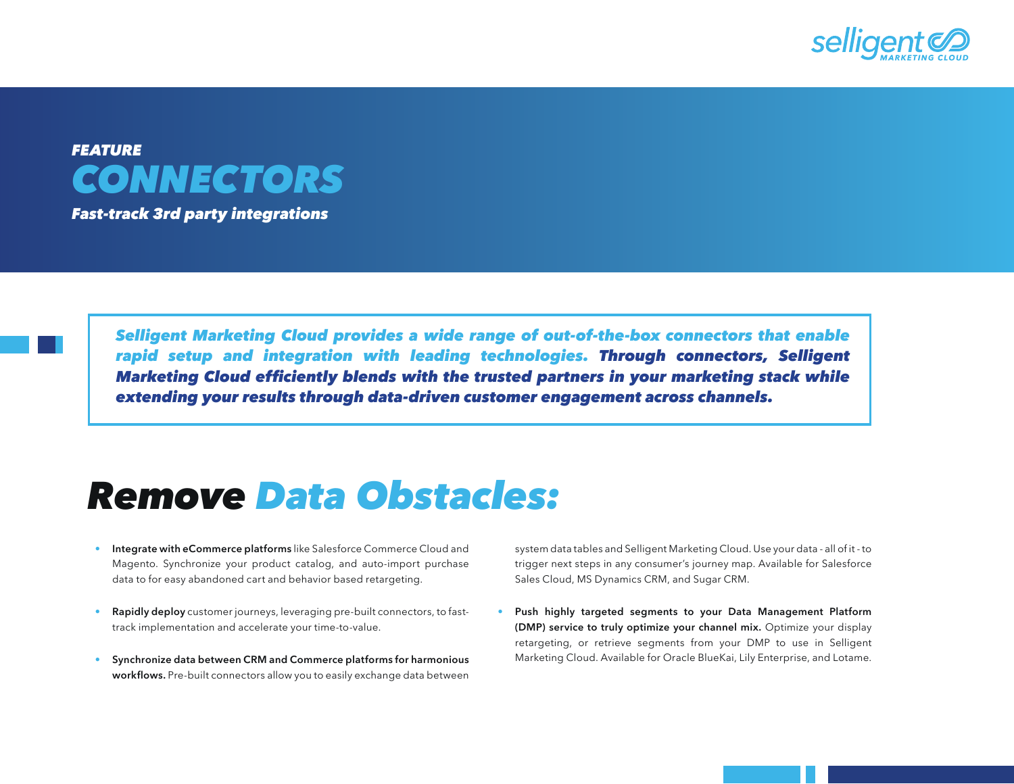



*Fast-track 3rd party integrations*

*Selligent Marketing Cloud provides a wide range of out-of-the-box connectors that enable rapid setup and integration with leading technologies. Through connectors, Selligent*  Marketing Cloud efficiently blends with the trusted partners in your marketing stack while *extending your results through data-driven customer engagement across channels.* 

## *Remove Data Obstacles:*

- Integrate with eCommerce platforms like Salesforce Commerce Cloud and Magento. Synchronize your product catalog, and auto-import purchase data to for easy abandoned cart and behavior based retargeting.
- Rapidly deploy customer journeys, leveraging pre-built connectors, to fasttrack implementation and accelerate your time-to-value.
- Synchronize data between CRM and Commerce platforms for harmonious workflows. Pre-built connectors allow you to easily exchange data between

system data tables and Selligent Marketing Cloud. Use your data - all of it - to trigger next steps in any consumer's journey map. Available for Salesforce Sales Cloud, MS Dynamics CRM, and Sugar CRM.

Push highly targeted segments to your Data Management Platform (DMP) service to truly optimize your channel mix. Optimize your display retargeting, or retrieve segments from your DMP to use in Selligent Marketing Cloud. Available for Oracle BlueKai, Lily Enterprise, and Lotame.